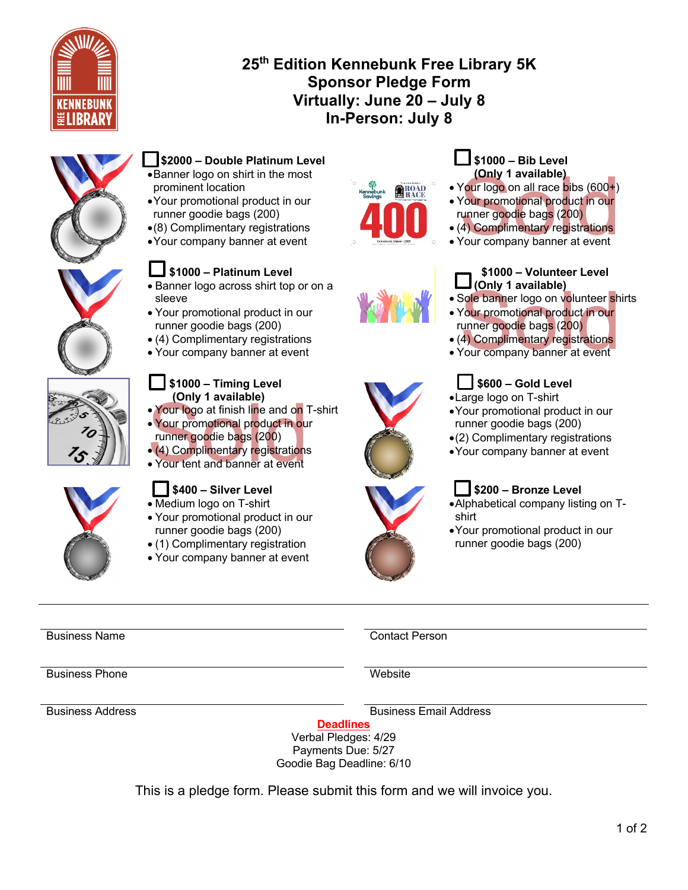

# **25th Edition Kennebunk Free Library 5K Sponsor Pledge Form Virtually: June 20 – July 8 In-Person: July 8**



## **\$2000 – Double Platinum Level** •Banner logo on shirt in the most prominent location

- •Your promotional product in our runner goodie bags (200)
- •(8) Complimentary registrations
- •Your company banner at event

# **\$1000 – Platinum Level**

- Banner logo across shirt top or on a sleeve
- Your promotional product in our runner goodie bags (200)
- (4) Complimentary registrations
- Your company banner at event



## **\$1000 – Timing Level (Only 1 available)**

- Your logo at finish line and on T-shirt
- Your logo at finish line and on<br>• Your promotional product in ou<br>• Your promotional product in ou<br>• (4) Complimentary registrations<br>• Your tent and banner at event • Your promotional product in our runner goodie bags (200)
- (4) Complimentary registrations
- Your tent and banner at event



# **\$400 – Silver Level**

- Medium logo on T-shirt
- Your promotional product in our runner goodie bags (200)
- (1) Complimentary registration
- Your company banner at event









## **\$1000 – Bib Level (Only 1 available)**

- Your logo on all race bibs (600+)
- (Only 1 available)<br>• Your logo on all race bibs (600+)<br>• Your promotional product in our<br>runner goodie bags (200)<br>• (4) Complimentary registrations<br>• Your company banner at event • Your promotional product in our runner goodie bags (200)
- (4) Complimentary registrations
- 

## **\$1000 – Volunteer Level (Only 1 available)**

- Sole banner logo on volunteer shirts
- Sole banner logo on volunteer sh<br>• Your promotional product in our<br>• Your promotional product in our<br>• (4) Complimentary registrations<br>• Your company banner at event • Your promotional product in our runner goodie bags (200)
- (4) Complimentary registrations
- 



- •Large logo on T-shirt
- •Your promotional product in our runner goodie bags (200)
- •(2) Complimentary registrations
- •Your company banner at event

## **\$200 – Bronze Level**

- •Alphabetical company listing on Tshirt
- •Your promotional product in our runner goodie bags (200)

Business Name Contact Person

Business Phone Website

Business Address Business Email Address

**Deadlines**

Verbal Pledges: 4/29 Payments Due: 5/27 Goodie Bag Deadline: 6/10

This is a pledge form. Please submit this form and we will invoice you.